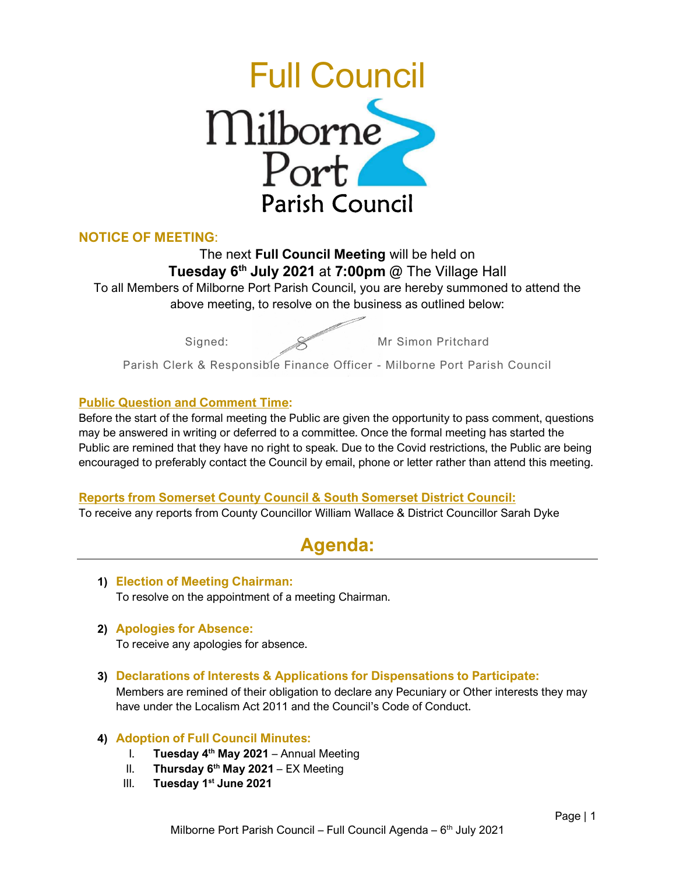

# NOTICE OF MEETING:

The next Full Council Meeting will be held on Tuesday 6<sup>th</sup> July 2021 at 7:00pm @ The Village Hall To all Members of Milborne Port Parish Council, you are hereby summoned to attend the above meeting, to resolve on the business as outlined below:

Signed: Wr Simon Pritchard

Parish Clerk & Responsible Finance Officer - Milborne Port Parish Council

## Public Question and Comment Time:

Before the start of the formal meeting the Public are given the opportunity to pass comment, questions may be answered in writing or deferred to a committee. Once the formal meeting has started the Public are remined that they have no right to speak. Due to the Covid restrictions, the Public are being encouraged to preferably contact the Council by email, phone or letter rather than attend this meeting.

## Reports from Somerset County Council & South Somerset District Council:

To receive any reports from County Councillor William Wallace & District Councillor Sarah Dyke

# Agenda:

1) Election of Meeting Chairman: To resolve on the appointment of a meeting Chairman.

# 2) Apologies for Absence:

To receive any apologies for absence.

3) Declarations of Interests & Applications for Dispensations to Participate: Members are remined of their obligation to declare any Pecuniary or Other interests they may have under the Localism Act 2011 and the Council's Code of Conduct.

# 4) Adoption of Full Council Minutes:

- I. Tuesday  $4<sup>th</sup>$  May 2021 Annual Meeting
- II. Thursday  $6<sup>th</sup>$  May 2021 EX Meeting
- III. Tuesday 1<sup>st</sup> June 2021